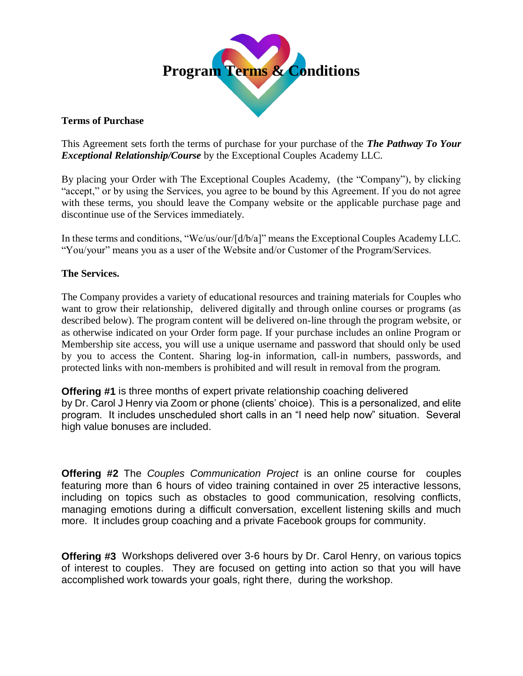

## **Terms of Purchase**

This Agreement sets forth the terms of purchase for your purchase of the *The Pathway To Your Exceptional Relationship/Course* by the Exceptional Couples Academy LLC.

By placing your Order with The Exceptional Couples Academy, (the "Company"), by clicking "accept," or by using the Services, you agree to be bound by this Agreement. If you do not agree with these terms, you should leave the Company website or the applicable purchase page and discontinue use of the Services immediately.

In these terms and conditions, "We/us/our/[d/b/a]" means the Exceptional Couples Academy LLC. "You/your" means you as a user of the Website and/or Customer of the Program/Services.

# **The Services.**

The Company provides a variety of educational resources and training materials for Couples who want to grow their relationship, delivered digitally and through online courses or programs (as described below). The program content will be delivered on-line through the program website, or as otherwise indicated on your Order form page. If your purchase includes an online Program or Membership site access, you will use a unique username and password that should only be used by you to access the Content. Sharing log-in information, call-in numbers, passwords, and protected links with non-members is prohibited and will result in removal from the program.

**Offering #1** is three months of expert private relationship coaching delivered by Dr. Carol J Henry via Zoom or phone (clients' choice). This is a personalized, and elite program. It includes unscheduled short calls in an "I need help now" situation. Several high value bonuses are included.

**Offering #2** The *Couples Communication Project* is an online course for couples featuring more than 6 hours of video training contained in over 25 interactive lessons, including on topics such as obstacles to good communication, resolving conflicts, managing emotions during a difficult conversation, excellent listening skills and much more. It includes group coaching and a private Facebook groups for community.

**Offering #3** Workshops delivered over 3-6 hours by Dr. Carol Henry, on various topics of interest to couples. They are focused on getting into action so that you will have accomplished work towards your goals, right there, during the workshop.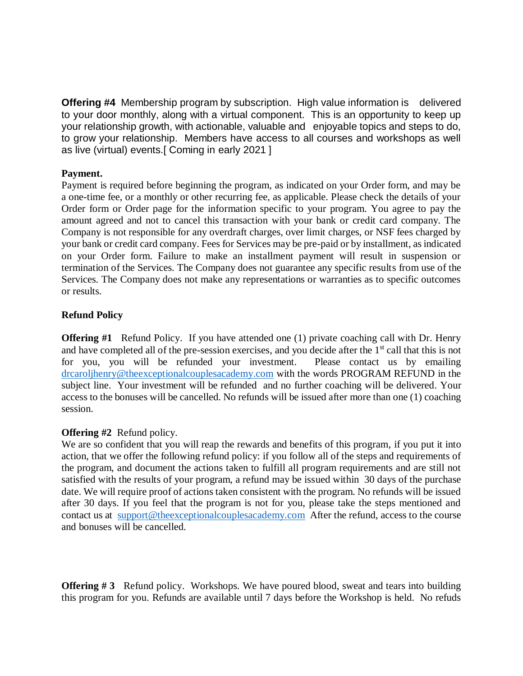**Offering #4** Membership program by subscription. High value information is delivered to your door monthly, along with a virtual component. This is an opportunity to keep up your relationship growth, with actionable, valuable and enjoyable topics and steps to do, to grow your relationship. Members have access to all courses and workshops as well as live (virtual) events.[ Coming in early 2021 ]

### **Payment.**

Payment is required before beginning the program, as indicated on your Order form, and may be a one-time fee, or a monthly or other recurring fee, as applicable. Please check the details of your Order form or Order page for the information specific to your program. You agree to pay the amount agreed and not to cancel this transaction with your bank or credit card company. The Company is not responsible for any overdraft charges, over limit charges, or NSF fees charged by your bank or credit card company. Fees for Services may be pre-paid or by installment, as indicated on your Order form. Failure to make an installment payment will result in suspension or termination of the Services. The Company does not guarantee any specific results from use of the Services. The Company does not make any representations or warranties as to specific outcomes or results.

# **Refund Policy**

**Offering #1** Refund Policy. If you have attended one (1) private coaching call with Dr. Henry and have completed all of the pre-session exercises, and you decide after the 1<sup>st</sup> call that this is not for you, you will be refunded your investment. Please contact us by emailing [drcaroljhenry@theexceptionalcouplesacademy.com](mailto:drcaroljhenry@theexceptionalcouplesacademy.com) with the words PROGRAM REFUND in the subject line. Your investment will be refunded and no further coaching will be delivered. Your access to the bonuses will be cancelled. No refunds will be issued after more than one (1) coaching session.

# **Offering #2** Refund policy.

We are so confident that you will reap the rewards and benefits of this program, if you put it into action, that we offer the following refund policy: if you follow all of the steps and requirements of the program, and document the actions taken to fulfill all program requirements and are still not satisfied with the results of your program, a refund may be issued within 30 days of the purchase date. We will require proof of actions taken consistent with the program. No refunds will be issued after 30 days. If you feel that the program is not for you, please take the steps mentioned and contact us at [support@theexceptionalcouplesacademy.com](mailto:support@theexceptionalcouplesacademy.com) After the refund, access to the course and bonuses will be cancelled.

**Offering #3** Refund policy. Workshops. We have poured blood, sweat and tears into building this program for you. Refunds are available until 7 days before the Workshop is held. No refuds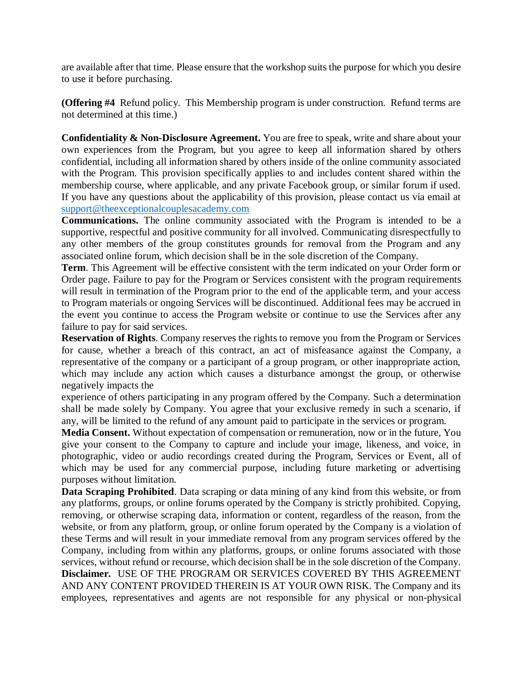are available after that time. Please ensure that the workshop suits the purpose for which you desire to use it before purchasing.

**(Offering #4** Refund policy. This Membership program is under construction. Refund terms are not determined at this time.)

**Confidentiality & Non-Disclosure Agreement.** You are free to speak, write and share about your own experiences from the Program, but you agree to keep all information shared by others confidential, including all information shared by others inside of the online community associated with the Program. This provision specifically applies to and includes content shared within the membership course, where applicable, and any private Facebook group, or similar forum if used. If you have any questions about the applicability of this provision, please contact us via email at [support@theexceptionalcouplesacademy.com](mailto:support@theexceptionalcouplesacademy.com)

**Communications.** The online community associated with the Program is intended to be a supportive, respectful and positive community for all involved. Communicating disrespectfully to any other members of the group constitutes grounds for removal from the Program and any associated online forum, which decision shall be in the sole discretion of the Company.

**Term**. This Agreement will be effective consistent with the term indicated on your Order form or Order page. Failure to pay for the Program or Services consistent with the program requirements will result in termination of the Program prior to the end of the applicable term, and your access to Program materials or ongoing Services will be discontinued. Additional fees may be accrued in the event you continue to access the Program website or continue to use the Services after any failure to pay for said services.

**Reservation of Rights**. Company reserves the rights to remove you from the Program or Services for cause, whether a breach of this contract, an act of misfeasance against the Company, a representative of the company or a participant of a group program, or other inappropriate action, which may include any action which causes a disturbance amongst the group, or otherwise negatively impacts the

experience of others participating in any program offered by the Company. Such a determination shall be made solely by Company. You agree that your exclusive remedy in such a scenario, if any, will be limited to the refund of any amount paid to participate in the services or program.

**Media Consent.** Without expectation of compensation or remuneration, now or in the future, You give your consent to the Company to capture and include your image, likeness, and voice, in photographic, video or audio recordings created during the Program, Services or Event, all of which may be used for any commercial purpose, including future marketing or advertising purposes without limitation.

**Data Scraping Prohibited**. Data scraping or data mining of any kind from this website, or from any platforms, groups, or online forums operated by the Company is strictly prohibited. Copying, removing, or otherwise scraping data, information or content, regardless of the reason, from the website, or from any platform, group, or online forum operated by the Company is a violation of these Terms and will result in your immediate removal from any program services offered by the Company, including from within any platforms, groups, or online forums associated with those services, without refund or recourse, which decision shall be in the sole discretion of the Company. **Disclaimer.** USE OF THE PROGRAM OR SERVICES COVERED BY THIS AGREEMENT AND ANY CONTENT PROVIDED THEREIN IS AT YOUR OWN RISK. The Company and its employees, representatives and agents are not responsible for any physical or non-physical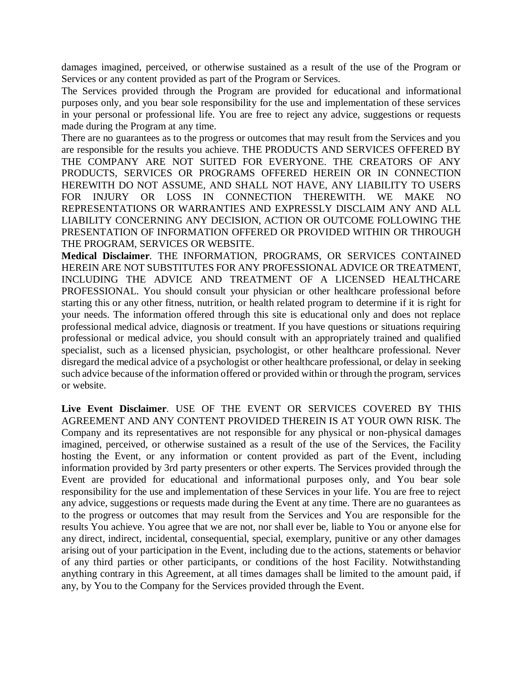damages imagined, perceived, or otherwise sustained as a result of the use of the Program or Services or any content provided as part of the Program or Services.

The Services provided through the Program are provided for educational and informational purposes only, and you bear sole responsibility for the use and implementation of these services in your personal or professional life. You are free to reject any advice, suggestions or requests made during the Program at any time.

There are no guarantees as to the progress or outcomes that may result from the Services and you are responsible for the results you achieve. THE PRODUCTS AND SERVICES OFFERED BY THE COMPANY ARE NOT SUITED FOR EVERYONE. THE CREATORS OF ANY PRODUCTS, SERVICES OR PROGRAMS OFFERED HEREIN OR IN CONNECTION HEREWITH DO NOT ASSUME, AND SHALL NOT HAVE, ANY LIABILITY TO USERS FOR INJURY OR LOSS IN CONNECTION THEREWITH. WE MAKE NO REPRESENTATIONS OR WARRANTIES AND EXPRESSLY DISCLAIM ANY AND ALL LIABILITY CONCERNING ANY DECISION, ACTION OR OUTCOME FOLLOWING THE PRESENTATION OF INFORMATION OFFERED OR PROVIDED WITHIN OR THROUGH THE PROGRAM, SERVICES OR WEBSITE.

**Medical Disclaimer**. THE INFORMATION, PROGRAMS, OR SERVICES CONTAINED HEREIN ARE NOT SUBSTITUTES FOR ANY PROFESSIONAL ADVICE OR TREATMENT, INCLUDING THE ADVICE AND TREATMENT OF A LICENSED HEALTHCARE PROFESSIONAL. You should consult your physician or other healthcare professional before starting this or any other fitness, nutrition, or health related program to determine if it is right for your needs. The information offered through this site is educational only and does not replace professional medical advice, diagnosis or treatment. If you have questions or situations requiring professional or medical advice, you should consult with an appropriately trained and qualified specialist, such as a licensed physician, psychologist, or other healthcare professional. Never disregard the medical advice of a psychologist or other healthcare professional, or delay in seeking such advice because of the information offered or provided within or through the program, services or website.

**Live Event Disclaimer**. USE OF THE EVENT OR SERVICES COVERED BY THIS AGREEMENT AND ANY CONTENT PROVIDED THEREIN IS AT YOUR OWN RISK. The Company and its representatives are not responsible for any physical or non-physical damages imagined, perceived, or otherwise sustained as a result of the use of the Services, the Facility hosting the Event, or any information or content provided as part of the Event, including information provided by 3rd party presenters or other experts. The Services provided through the Event are provided for educational and informational purposes only, and You bear sole responsibility for the use and implementation of these Services in your life. You are free to reject any advice, suggestions or requests made during the Event at any time. There are no guarantees as to the progress or outcomes that may result from the Services and You are responsible for the results You achieve. You agree that we are not, nor shall ever be, liable to You or anyone else for any direct, indirect, incidental, consequential, special, exemplary, punitive or any other damages arising out of your participation in the Event, including due to the actions, statements or behavior of any third parties or other participants, or conditions of the host Facility. Notwithstanding anything contrary in this Agreement, at all times damages shall be limited to the amount paid, if any, by You to the Company for the Services provided through the Event.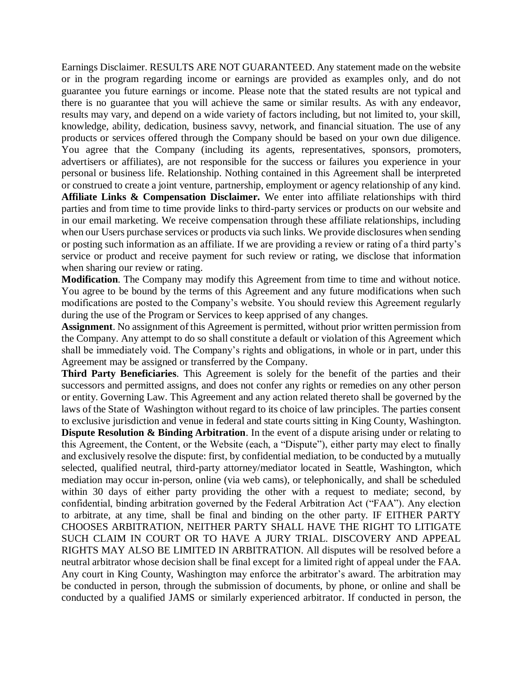Earnings Disclaimer. RESULTS ARE NOT GUARANTEED. Any statement made on the website or in the program regarding income or earnings are provided as examples only, and do not guarantee you future earnings or income. Please note that the stated results are not typical and there is no guarantee that you will achieve the same or similar results. As with any endeavor, results may vary, and depend on a wide variety of factors including, but not limited to, your skill, knowledge, ability, dedication, business savvy, network, and financial situation. The use of any products or services offered through the Company should be based on your own due diligence. You agree that the Company (including its agents, representatives, sponsors, promoters, advertisers or affiliates), are not responsible for the success or failures you experience in your personal or business life. Relationship. Nothing contained in this Agreement shall be interpreted or construed to create a joint venture, partnership, employment or agency relationship of any kind. **Affiliate Links & Compensation Disclaimer.** We enter into affiliate relationships with third parties and from time to time provide links to third-party services or products on our website and in our email marketing. We receive compensation through these affiliate relationships, including when our Users purchase services or products via such links. We provide disclosures when sending or posting such information as an affiliate. If we are providing a review or rating of a third party's service or product and receive payment for such review or rating, we disclose that information when sharing our review or rating.

**Modification**. The Company may modify this Agreement from time to time and without notice. You agree to be bound by the terms of this Agreement and any future modifications when such modifications are posted to the Company's website. You should review this Agreement regularly during the use of the Program or Services to keep apprised of any changes.

**Assignment**. No assignment of this Agreement is permitted, without prior written permission from the Company. Any attempt to do so shall constitute a default or violation of this Agreement which shall be immediately void. The Company's rights and obligations, in whole or in part, under this Agreement may be assigned or transferred by the Company.

**Third Party Beneficiaries**. This Agreement is solely for the benefit of the parties and their successors and permitted assigns, and does not confer any rights or remedies on any other person or entity. Governing Law. This Agreement and any action related thereto shall be governed by the laws of the State of Washington without regard to its choice of law principles. The parties consent to exclusive jurisdiction and venue in federal and state courts sitting in King County, Washington. **Dispute Resolution & Binding Arbitration**. In the event of a dispute arising under or relating to this Agreement, the Content, or the Website (each, a "Dispute"), either party may elect to finally and exclusively resolve the dispute: first, by confidential mediation, to be conducted by a mutually selected, qualified neutral, third-party attorney/mediator located in Seattle, Washington, which mediation may occur in-person, online (via web cams), or telephonically, and shall be scheduled within 30 days of either party providing the other with a request to mediate; second, by confidential, binding arbitration governed by the Federal Arbitration Act ("FAA"). Any election to arbitrate, at any time, shall be final and binding on the other party. IF EITHER PARTY CHOOSES ARBITRATION, NEITHER PARTY SHALL HAVE THE RIGHT TO LITIGATE SUCH CLAIM IN COURT OR TO HAVE A JURY TRIAL. DISCOVERY AND APPEAL RIGHTS MAY ALSO BE LIMITED IN ARBITRATION. All disputes will be resolved before a neutral arbitrator whose decision shall be final except for a limited right of appeal under the FAA. Any court in King County, Washington may enforce the arbitrator's award. The arbitration may be conducted in person, through the submission of documents, by phone, or online and shall be conducted by a qualified JAMS or similarly experienced arbitrator. If conducted in person, the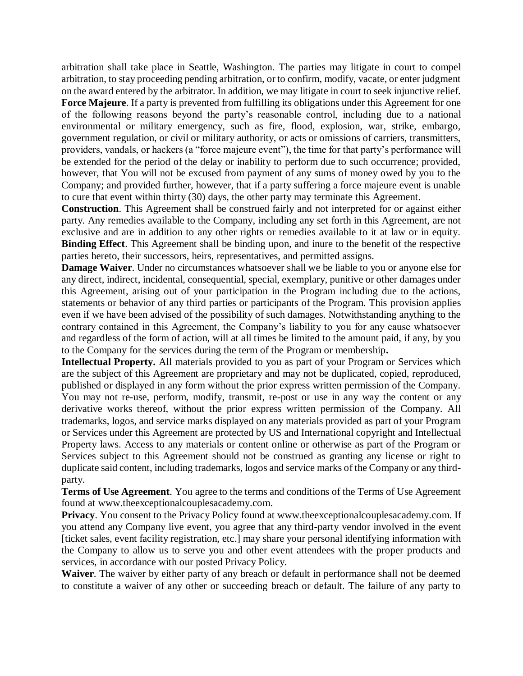arbitration shall take place in Seattle, Washington. The parties may litigate in court to compel arbitration, to stay proceeding pending arbitration, or to confirm, modify, vacate, or enter judgment on the award entered by the arbitrator. In addition, we may litigate in court to seek injunctive relief.

**Force Majeure**. If a party is prevented from fulfilling its obligations under this Agreement for one of the following reasons beyond the party's reasonable control, including due to a national environmental or military emergency, such as fire, flood, explosion, war, strike, embargo, government regulation, or civil or military authority, or acts or omissions of carriers, transmitters, providers, vandals, or hackers (a "force majeure event"), the time for that party's performance will be extended for the period of the delay or inability to perform due to such occurrence; provided, however, that You will not be excused from payment of any sums of money owed by you to the Company; and provided further, however, that if a party suffering a force majeure event is unable to cure that event within thirty (30) days, the other party may terminate this Agreement.

**Construction**. This Agreement shall be construed fairly and not interpreted for or against either party. Any remedies available to the Company, including any set forth in this Agreement, are not exclusive and are in addition to any other rights or remedies available to it at law or in equity. **Binding Effect**. This Agreement shall be binding upon, and inure to the benefit of the respective parties hereto, their successors, heirs, representatives, and permitted assigns.

**Damage Waiver**. Under no circumstances whatsoever shall we be liable to you or anyone else for any direct, indirect, incidental, consequential, special, exemplary, punitive or other damages under this Agreement, arising out of your participation in the Program including due to the actions, statements or behavior of any third parties or participants of the Program. This provision applies even if we have been advised of the possibility of such damages. Notwithstanding anything to the contrary contained in this Agreement, the Company's liability to you for any cause whatsoever and regardless of the form of action, will at all times be limited to the amount paid, if any, by you to the Company for the services during the term of the Program or membership**.** 

**Intellectual Property.** All materials provided to you as part of your Program or Services which are the subject of this Agreement are proprietary and may not be duplicated, copied, reproduced, published or displayed in any form without the prior express written permission of the Company. You may not re-use, perform, modify, transmit, re-post or use in any way the content or any derivative works thereof, without the prior express written permission of the Company. All trademarks, logos, and service marks displayed on any materials provided as part of your Program or Services under this Agreement are protected by US and International copyright and Intellectual Property laws. Access to any materials or content online or otherwise as part of the Program or Services subject to this Agreement should not be construed as granting any license or right to duplicate said content, including trademarks, logos and service marks of the Company or any thirdparty.

**Terms of Use Agreement**. You agree to the terms and conditions of the Terms of Use Agreement found at www.theexceptionalcouplesacademy.com.

**Privacy.** You consent to the Privacy Policy found at www.theexceptionalcouplesacademy.com. If you attend any Company live event, you agree that any third-party vendor involved in the event [ticket sales, event facility registration, etc.] may share your personal identifying information with the Company to allow us to serve you and other event attendees with the proper products and services, in accordance with our posted Privacy Policy.

**Waiver**. The waiver by either party of any breach or default in performance shall not be deemed to constitute a waiver of any other or succeeding breach or default. The failure of any party to